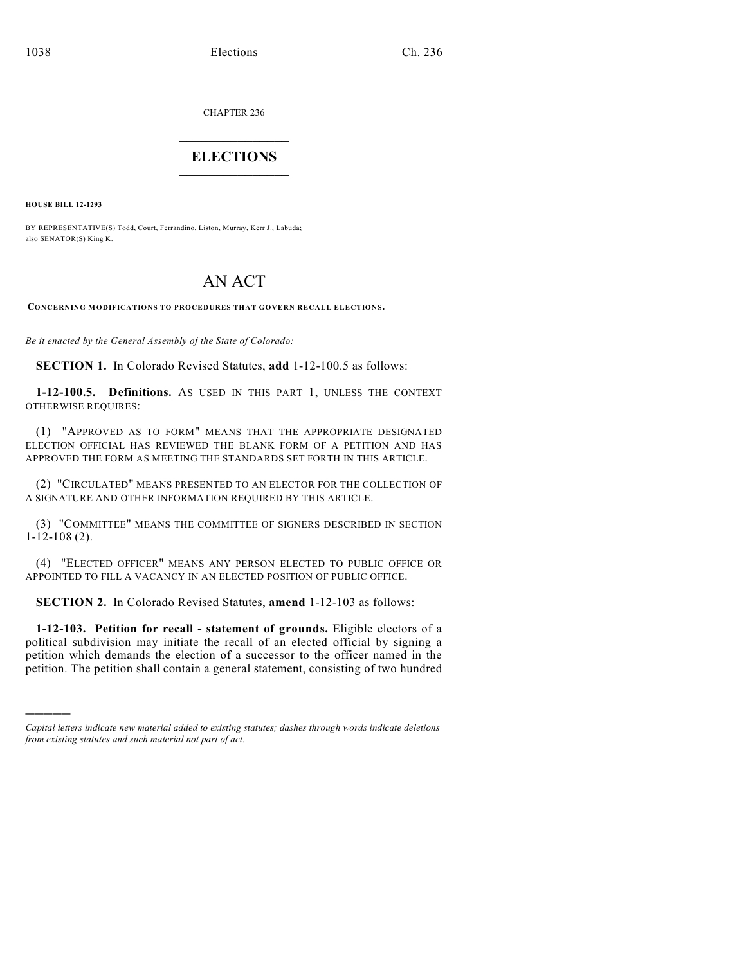CHAPTER 236

# $\overline{\phantom{a}}$  . The set of the set of the set of the set of the set of the set of the set of the set of the set of the set of the set of the set of the set of the set of the set of the set of the set of the set of the set o **ELECTIONS**  $\_$

**HOUSE BILL 12-1293**

)))))

BY REPRESENTATIVE(S) Todd, Court, Ferrandino, Liston, Murray, Kerr J., Labuda; also SENATOR(S) King K.

# AN ACT

**CONCERNING MODIFICATIONS TO PROCEDURES THAT GOVERN RECALL ELECTIONS.**

*Be it enacted by the General Assembly of the State of Colorado:*

**SECTION 1.** In Colorado Revised Statutes, **add** 1-12-100.5 as follows:

**1-12-100.5. Definitions.** AS USED IN THIS PART 1, UNLESS THE CONTEXT OTHERWISE REQUIRES:

(1) "APPROVED AS TO FORM" MEANS THAT THE APPROPRIATE DESIGNATED ELECTION OFFICIAL HAS REVIEWED THE BLANK FORM OF A PETITION AND HAS APPROVED THE FORM AS MEETING THE STANDARDS SET FORTH IN THIS ARTICLE.

(2) "CIRCULATED" MEANS PRESENTED TO AN ELECTOR FOR THE COLLECTION OF A SIGNATURE AND OTHER INFORMATION REQUIRED BY THIS ARTICLE.

(3) "COMMITTEE" MEANS THE COMMITTEE OF SIGNERS DESCRIBED IN SECTION 1-12-108 (2).

(4) "ELECTED OFFICER" MEANS ANY PERSON ELECTED TO PUBLIC OFFICE OR APPOINTED TO FILL A VACANCY IN AN ELECTED POSITION OF PUBLIC OFFICE.

**SECTION 2.** In Colorado Revised Statutes, **amend** 1-12-103 as follows:

**1-12-103. Petition for recall - statement of grounds.** Eligible electors of a political subdivision may initiate the recall of an elected official by signing a petition which demands the election of a successor to the officer named in the petition. The petition shall contain a general statement, consisting of two hundred

*Capital letters indicate new material added to existing statutes; dashes through words indicate deletions from existing statutes and such material not part of act.*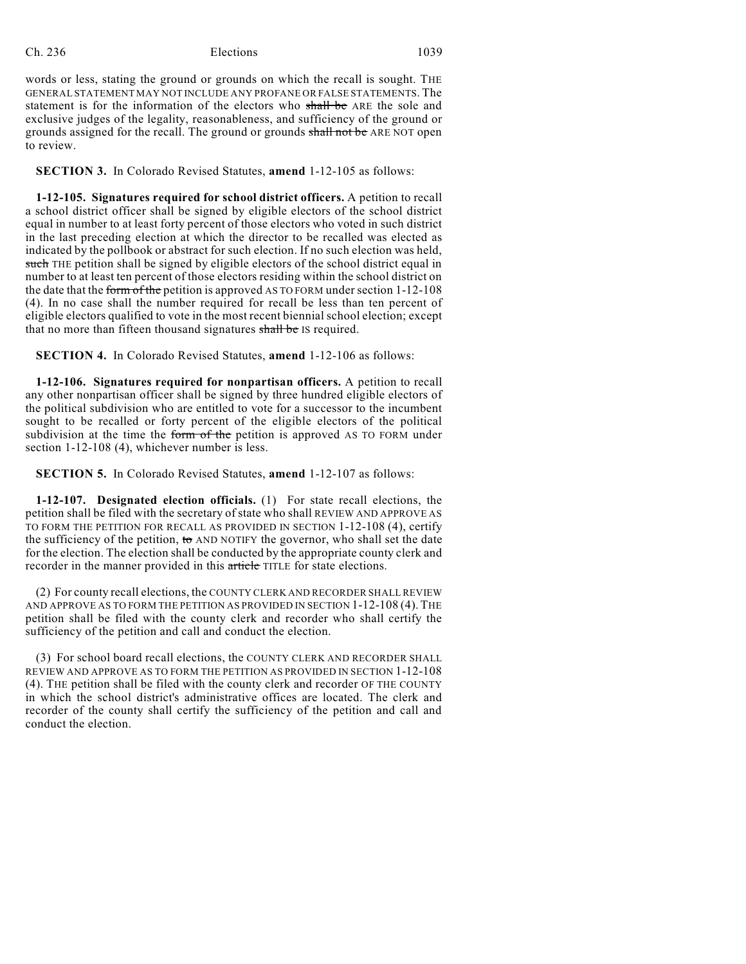words or less, stating the ground or grounds on which the recall is sought. THE GENERAL STATEMENT MAY NOT INCLUDE ANY PROFANE OR FALSE STATEMENTS. The statement is for the information of the electors who shall be ARE the sole and exclusive judges of the legality, reasonableness, and sufficiency of the ground or grounds assigned for the recall. The ground or grounds shall not be ARE NOT open to review.

**SECTION 3.** In Colorado Revised Statutes, **amend** 1-12-105 as follows:

**1-12-105. Signatures required for school district officers.** A petition to recall a school district officer shall be signed by eligible electors of the school district equal in number to at least forty percent of those electors who voted in such district in the last preceding election at which the director to be recalled was elected as indicated by the pollbook or abstract for such election. If no such election was held, such THE petition shall be signed by eligible electors of the school district equal in number to at least ten percent of those electors residing within the school district on the date that the form of the petition is approved AS TO FORM under section 1-12-108 (4). In no case shall the number required for recall be less than ten percent of eligible electors qualified to vote in the most recent biennial school election; except that no more than fifteen thousand signatures shall be IS required.

**SECTION 4.** In Colorado Revised Statutes, **amend** 1-12-106 as follows:

**1-12-106. Signatures required for nonpartisan officers.** A petition to recall any other nonpartisan officer shall be signed by three hundred eligible electors of the political subdivision who are entitled to vote for a successor to the incumbent sought to be recalled or forty percent of the eligible electors of the political subdivision at the time the form of the petition is approved AS TO FORM under section 1-12-108 (4), whichever number is less.

**SECTION 5.** In Colorado Revised Statutes, **amend** 1-12-107 as follows:

**1-12-107. Designated election officials.** (1) For state recall elections, the petition shall be filed with the secretary of state who shall REVIEW AND APPROVE AS TO FORM THE PETITION FOR RECALL AS PROVIDED IN SECTION 1-12-108 (4), certify the sufficiency of the petition,  $\omega$  AND NOTIFY the governor, who shall set the date for the election. The election shall be conducted by the appropriate county clerk and recorder in the manner provided in this article TITLE for state elections.

(2) For county recall elections, the COUNTY CLERK AND RECORDER SHALL REVIEW AND APPROVE AS TO FORM THE PETITION AS PROVIDED IN SECTION 1-12-108 (4). THE petition shall be filed with the county clerk and recorder who shall certify the sufficiency of the petition and call and conduct the election.

(3) For school board recall elections, the COUNTY CLERK AND RECORDER SHALL REVIEW AND APPROVE AS TO FORM THE PETITION AS PROVIDED IN SECTION 1-12-108 (4). THE petition shall be filed with the county clerk and recorder OF THE COUNTY in which the school district's administrative offices are located. The clerk and recorder of the county shall certify the sufficiency of the petition and call and conduct the election.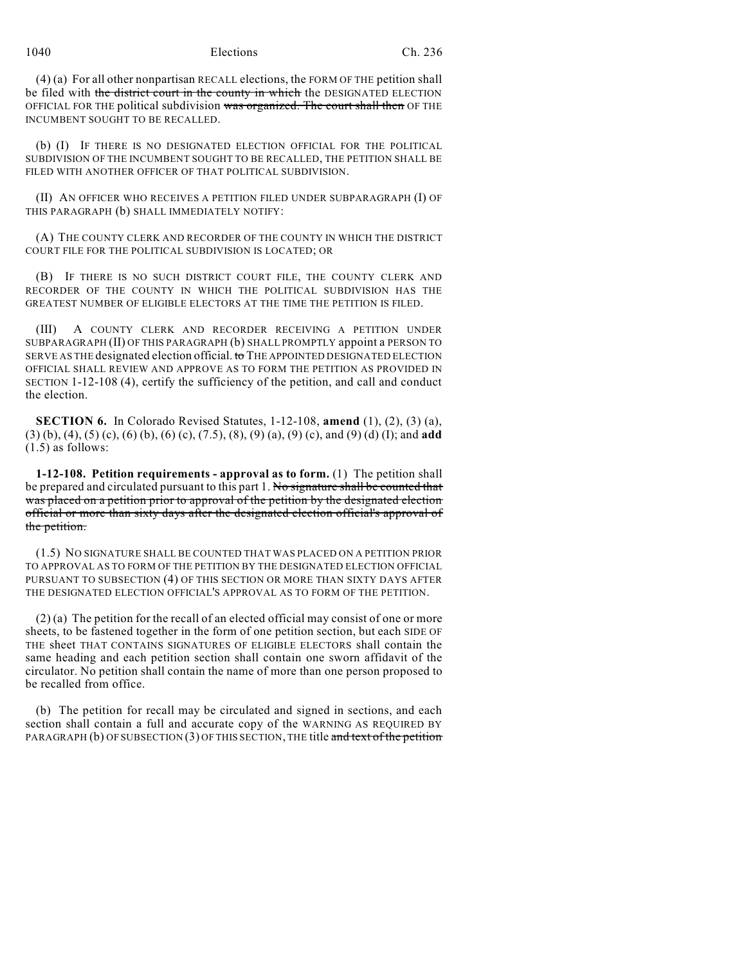1040 Elections Ch. 236

(4) (a) For all other nonpartisan RECALL elections, the FORM OF THE petition shall be filed with the district court in the county in which the DESIGNATED ELECTION OFFICIAL FOR THE political subdivision was organized. The court shall then OF THE INCUMBENT SOUGHT TO BE RECALLED.

(b) (I) IF THERE IS NO DESIGNATED ELECTION OFFICIAL FOR THE POLITICAL SUBDIVISION OF THE INCUMBENT SOUGHT TO BE RECALLED, THE PETITION SHALL BE FILED WITH ANOTHER OFFICER OF THAT POLITICAL SUBDIVISION.

(II) AN OFFICER WHO RECEIVES A PETITION FILED UNDER SUBPARAGRAPH (I) OF THIS PARAGRAPH (b) SHALL IMMEDIATELY NOTIFY:

(A) THE COUNTY CLERK AND RECORDER OF THE COUNTY IN WHICH THE DISTRICT COURT FILE FOR THE POLITICAL SUBDIVISION IS LOCATED; OR

(B) IF THERE IS NO SUCH DISTRICT COURT FILE, THE COUNTY CLERK AND RECORDER OF THE COUNTY IN WHICH THE POLITICAL SUBDIVISION HAS THE GREATEST NUMBER OF ELIGIBLE ELECTORS AT THE TIME THE PETITION IS FILED.

(III) A COUNTY CLERK AND RECORDER RECEIVING A PETITION UNDER SUBPARAGRAPH (II) OF THIS PARAGRAPH (b) SHALL PROMPTLY appoint a PERSON TO SERVE AS THE designated election official. to THE APPOINTED DESIGNATED ELECTION OFFICIAL SHALL REVIEW AND APPROVE AS TO FORM THE PETITION AS PROVIDED IN SECTION 1-12-108 (4), certify the sufficiency of the petition, and call and conduct the election.

**SECTION 6.** In Colorado Revised Statutes, 1-12-108, **amend** (1), (2), (3) (a), (3) (b), (4), (5) (c), (6) (b), (6) (c), (7.5), (8), (9) (a), (9) (c), and (9) (d) (I); and **add** (1.5) as follows:

**1-12-108. Petition requirements - approval as to form.** (1) The petition shall be prepared and circulated pursuant to this part 1. No signature shall be counted that was placed on a petition prior to approval of the petition by the designated election official or more than sixty days after the designated election official's approval of the petition.

(1.5) NO SIGNATURE SHALL BE COUNTED THAT WAS PLACED ON A PETITION PRIOR TO APPROVAL AS TO FORM OF THE PETITION BY THE DESIGNATED ELECTION OFFICIAL PURSUANT TO SUBSECTION (4) OF THIS SECTION OR MORE THAN SIXTY DAYS AFTER THE DESIGNATED ELECTION OFFICIAL'S APPROVAL AS TO FORM OF THE PETITION.

 $(2)$  (a) The petition for the recall of an elected official may consist of one or more sheets, to be fastened together in the form of one petition section, but each SIDE OF THE sheet THAT CONTAINS SIGNATURES OF ELIGIBLE ELECTORS shall contain the same heading and each petition section shall contain one sworn affidavit of the circulator. No petition shall contain the name of more than one person proposed to be recalled from office.

(b) The petition for recall may be circulated and signed in sections, and each section shall contain a full and accurate copy of the WARNING AS REQUIRED BY PARAGRAPH (b) OF SUBSECTION (3) OF THIS SECTION, THE title and text of the petition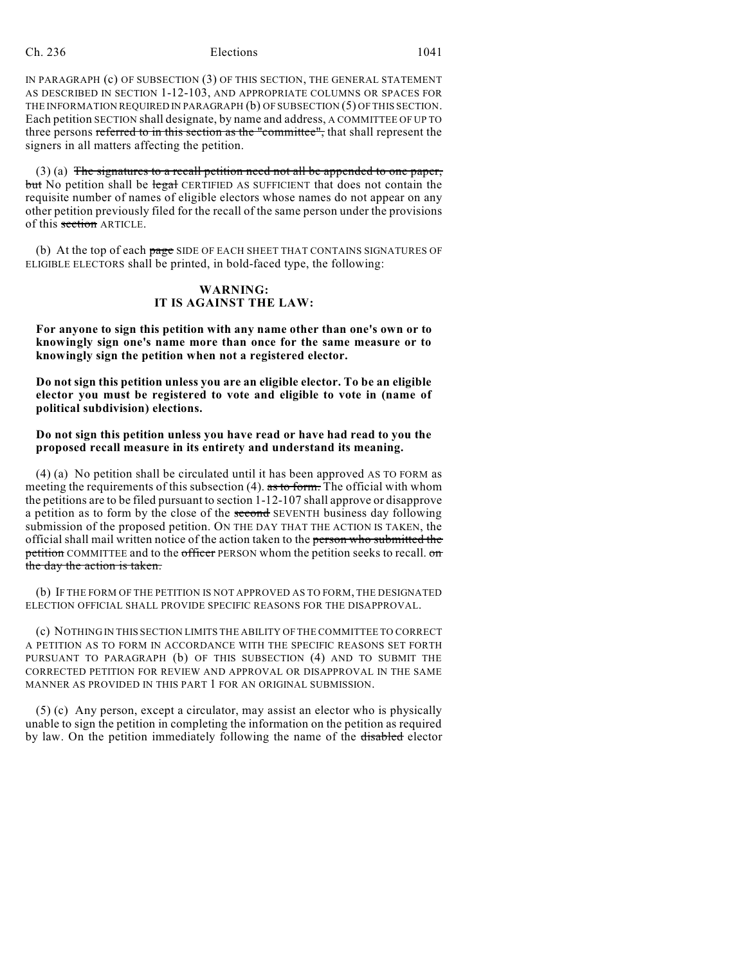IN PARAGRAPH (c) OF SUBSECTION (3) OF THIS SECTION, THE GENERAL STATEMENT AS DESCRIBED IN SECTION 1-12-103, AND APPROPRIATE COLUMNS OR SPACES FOR THE INFORMATION REQUIRED IN PARAGRAPH (b) OF SUBSECTION (5) OF THIS SECTION. Each petition SECTION shall designate, by name and address, A COMMITTEE OF UP TO three persons referred to in this section as the "committee", that shall represent the signers in all matters affecting the petition.

(3) (a) The signatures to a recall petition need not all be appended to one paper, but No petition shall be legal CERTIFIED AS SUFFICIENT that does not contain the requisite number of names of eligible electors whose names do not appear on any other petition previously filed for the recall of the same person under the provisions of this section ARTICLE.

(b) At the top of each page SIDE OF EACH SHEET THAT CONTAINS SIGNATURES OF ELIGIBLE ELECTORS shall be printed, in bold-faced type, the following:

#### **WARNING: IT IS AGAINST THE LAW:**

**For anyone to sign this petition with any name other than one's own or to knowingly sign one's name more than once for the same measure or to knowingly sign the petition when not a registered elector.**

**Do not sign this petition unless you are an eligible elector. To be an eligible elector you must be registered to vote and eligible to vote in (name of political subdivision) elections.**

## **Do not sign this petition unless you have read or have had read to you the proposed recall measure in its entirety and understand its meaning.**

(4) (a) No petition shall be circulated until it has been approved AS TO FORM as meeting the requirements of this subsection  $(4)$ . as to form. The official with whom the petitions are to be filed pursuant to section 1-12-107 shall approve or disapprove a petition as to form by the close of the second SEVENTH business day following submission of the proposed petition. ON THE DAY THAT THE ACTION IS TAKEN, the official shall mail written notice of the action taken to the person who submitted the petition COMMITTEE and to the officer PERSON whom the petition seeks to recall. on the day the action is taken.

(b) IF THE FORM OF THE PETITION IS NOT APPROVED AS TO FORM, THE DESIGNATED ELECTION OFFICIAL SHALL PROVIDE SPECIFIC REASONS FOR THE DISAPPROVAL.

(c) NOTHING IN THIS SECTION LIMITS THE ABILITY OF THE COMMITTEE TO CORRECT A PETITION AS TO FORM IN ACCORDANCE WITH THE SPECIFIC REASONS SET FORTH PURSUANT TO PARAGRAPH (b) OF THIS SUBSECTION (4) AND TO SUBMIT THE CORRECTED PETITION FOR REVIEW AND APPROVAL OR DISAPPROVAL IN THE SAME MANNER AS PROVIDED IN THIS PART 1 FOR AN ORIGINAL SUBMISSION.

(5) (c) Any person, except a circulator, may assist an elector who is physically unable to sign the petition in completing the information on the petition as required by law. On the petition immediately following the name of the disabled elector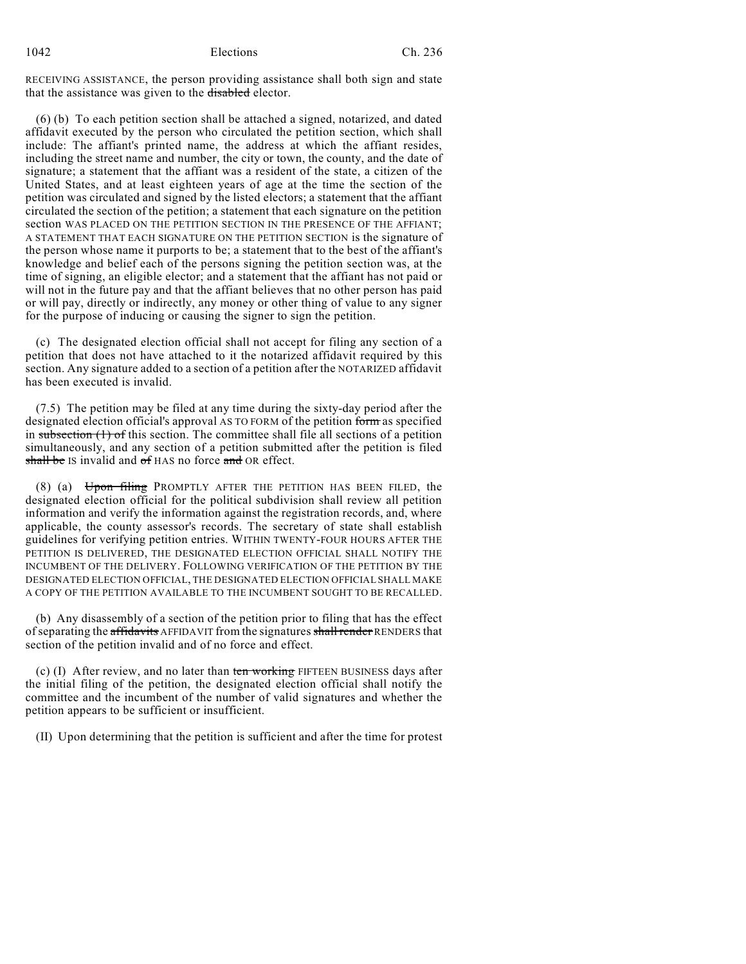RECEIVING ASSISTANCE, the person providing assistance shall both sign and state that the assistance was given to the disabled elector.

(6) (b) To each petition section shall be attached a signed, notarized, and dated affidavit executed by the person who circulated the petition section, which shall include: The affiant's printed name, the address at which the affiant resides, including the street name and number, the city or town, the county, and the date of signature; a statement that the affiant was a resident of the state, a citizen of the United States, and at least eighteen years of age at the time the section of the petition was circulated and signed by the listed electors; a statement that the affiant circulated the section of the petition; a statement that each signature on the petition section WAS PLACED ON THE PETITION SECTION IN THE PRESENCE OF THE AFFIANT; A STATEMENT THAT EACH SIGNATURE ON THE PETITION SECTION is the signature of the person whose name it purports to be; a statement that to the best of the affiant's knowledge and belief each of the persons signing the petition section was, at the time of signing, an eligible elector; and a statement that the affiant has not paid or will not in the future pay and that the affiant believes that no other person has paid or will pay, directly or indirectly, any money or other thing of value to any signer for the purpose of inducing or causing the signer to sign the petition.

(c) The designated election official shall not accept for filing any section of a petition that does not have attached to it the notarized affidavit required by this section. Any signature added to a section of a petition after the NOTARIZED affidavit has been executed is invalid.

(7.5) The petition may be filed at any time during the sixty-day period after the designated election official's approval AS TO FORM of the petition form as specified in subsection  $(1)$  of this section. The committee shall file all sections of a petition simultaneously, and any section of a petition submitted after the petition is filed shall be IS invalid and of HAS no force and OR effect.

(8) (a) Upon filing PROMPTLY AFTER THE PETITION HAS BEEN FILED, the designated election official for the political subdivision shall review all petition information and verify the information against the registration records, and, where applicable, the county assessor's records. The secretary of state shall establish guidelines for verifying petition entries. WITHIN TWENTY-FOUR HOURS AFTER THE PETITION IS DELIVERED, THE DESIGNATED ELECTION OFFICIAL SHALL NOTIFY THE INCUMBENT OF THE DELIVERY. FOLLOWING VERIFICATION OF THE PETITION BY THE DESIGNATED ELECTION OFFICIAL, THE DESIGNATED ELECTION OFFICIAL SHALL MAKE A COPY OF THE PETITION AVAILABLE TO THE INCUMBENT SOUGHT TO BE RECALLED.

(b) Any disassembly of a section of the petition prior to filing that has the effect of separating the affidavits AFFIDAVIT from the signatures shall render RENDERS that section of the petition invalid and of no force and effect.

(c)  $(I)$  After review, and no later than ten working FIFTEEN BUSINESS days after the initial filing of the petition, the designated election official shall notify the committee and the incumbent of the number of valid signatures and whether the petition appears to be sufficient or insufficient.

(II) Upon determining that the petition is sufficient and after the time for protest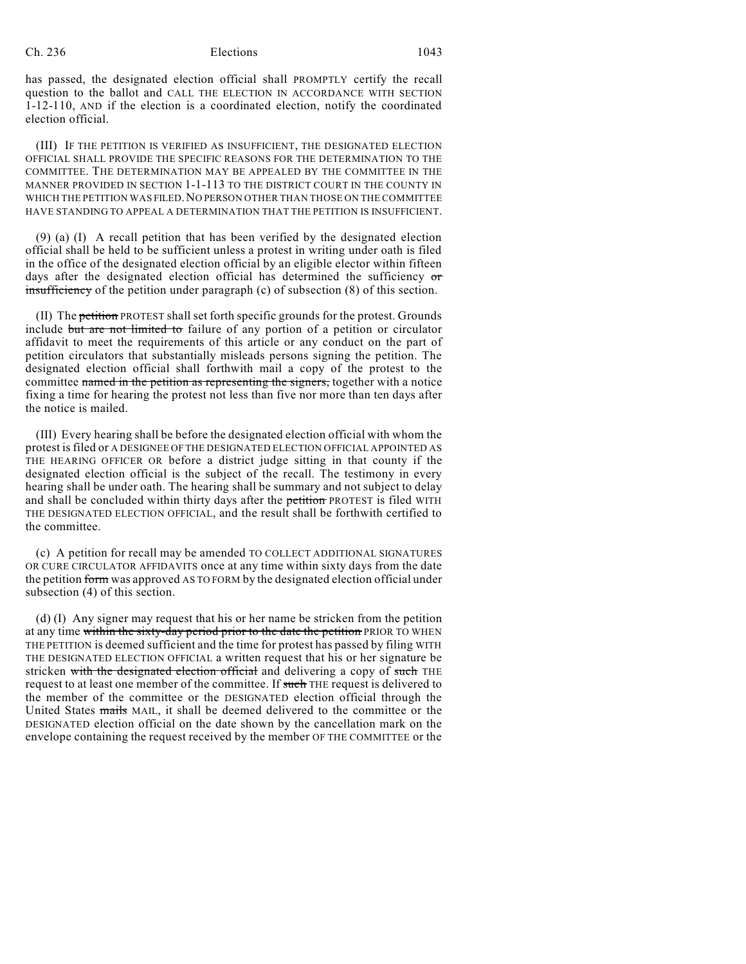has passed, the designated election official shall PROMPTLY certify the recall question to the ballot and CALL THE ELECTION IN ACCORDANCE WITH SECTION 1-12-110, AND if the election is a coordinated election, notify the coordinated election official.

(III) IF THE PETITION IS VERIFIED AS INSUFFICIENT, THE DESIGNATED ELECTION OFFICIAL SHALL PROVIDE THE SPECIFIC REASONS FOR THE DETERMINATION TO THE COMMITTEE. THE DETERMINATION MAY BE APPEALED BY THE COMMITTEE IN THE MANNER PROVIDED IN SECTION 1-1-113 TO THE DISTRICT COURT IN THE COUNTY IN WHICH THE PETITION WAS FILED. NO PERSON OTHER THAN THOSE ON THE COMMITTEE HAVE STANDING TO APPEAL A DETERMINATION THAT THE PETITION IS INSUFFICIENT.

(9) (a) (I) A recall petition that has been verified by the designated election official shall be held to be sufficient unless a protest in writing under oath is filed in the office of the designated election official by an eligible elector within fifteen days after the designated election official has determined the sufficiency or insufficiency of the petition under paragraph (c) of subsection (8) of this section.

(II) The petition PROTEST shall set forth specific grounds for the protest. Grounds include but are not limited to failure of any portion of a petition or circulator affidavit to meet the requirements of this article or any conduct on the part of petition circulators that substantially misleads persons signing the petition. The designated election official shall forthwith mail a copy of the protest to the committee named in the petition as representing the signers, together with a notice fixing a time for hearing the protest not less than five nor more than ten days after the notice is mailed.

(III) Every hearing shall be before the designated election official with whom the protest isfiled or A DESIGNEE OF THE DESIGNATED ELECTION OFFICIAL APPOINTED AS THE HEARING OFFICER OR before a district judge sitting in that county if the designated election official is the subject of the recall. The testimony in every hearing shall be under oath. The hearing shall be summary and not subject to delay and shall be concluded within thirty days after the petition PROTEST is filed WITH THE DESIGNATED ELECTION OFFICIAL, and the result shall be forthwith certified to the committee.

(c) A petition for recall may be amended TO COLLECT ADDITIONAL SIGNATURES OR CURE CIRCULATOR AFFIDAVITS once at any time within sixty days from the date the petition form was approved AS TO FORM by the designated election official under subsection (4) of this section.

(d) (I) Any signer may request that his or her name be stricken from the petition at any time within the sixty-day period prior to the date the petition PRIOR TO WHEN THE PETITION is deemed sufficient and the time for protest has passed by filing WITH THE DESIGNATED ELECTION OFFICIAL a written request that his or her signature be stricken with the designated election official and delivering a copy of such THE request to at least one member of the committee. If such THE request is delivered to the member of the committee or the DESIGNATED election official through the United States mails MAIL, it shall be deemed delivered to the committee or the DESIGNATED election official on the date shown by the cancellation mark on the envelope containing the request received by the member OF THE COMMITTEE or the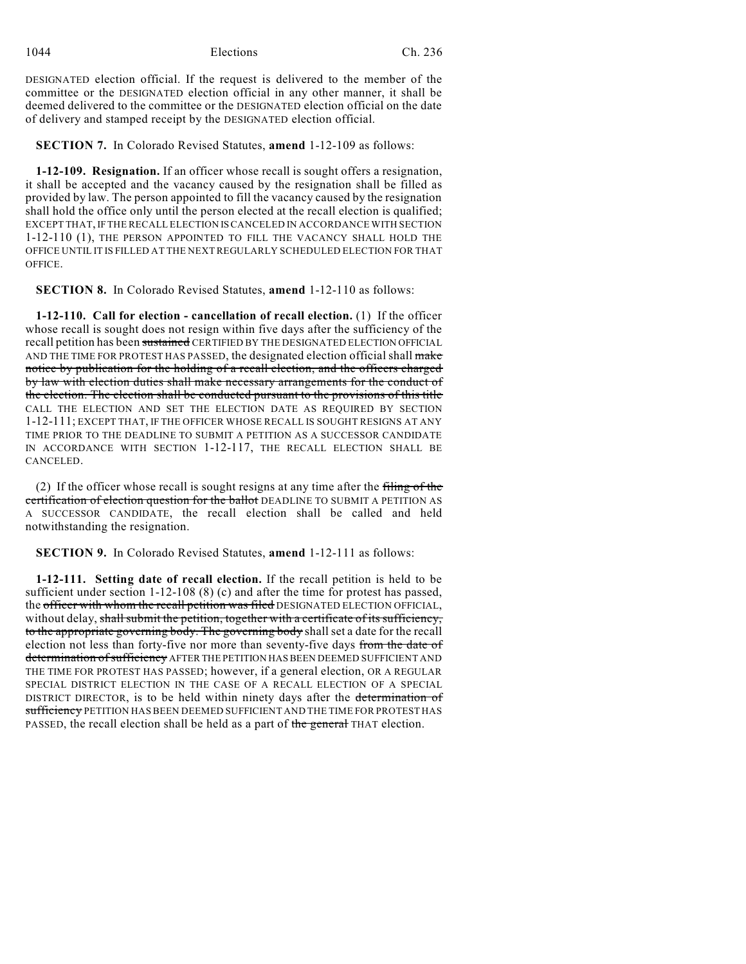1044 Elections Ch. 236

DESIGNATED election official. If the request is delivered to the member of the committee or the DESIGNATED election official in any other manner, it shall be deemed delivered to the committee or the DESIGNATED election official on the date of delivery and stamped receipt by the DESIGNATED election official.

**SECTION 7.** In Colorado Revised Statutes, **amend** 1-12-109 as follows:

**1-12-109. Resignation.** If an officer whose recall is sought offers a resignation, it shall be accepted and the vacancy caused by the resignation shall be filled as provided by law. The person appointed to fill the vacancy caused by the resignation shall hold the office only until the person elected at the recall election is qualified; EXCEPT THAT, IF THE RECALL ELECTION ISCANCELED IN ACCORDANCE WITH SECTION 1-12-110 (1), THE PERSON APPOINTED TO FILL THE VACANCY SHALL HOLD THE OFFICE UNTIL IT IS FILLED AT THE NEXT REGULARLY SCHEDULED ELECTION FOR THAT OFFICE.

**SECTION 8.** In Colorado Revised Statutes, **amend** 1-12-110 as follows:

**1-12-110. Call for election - cancellation of recall election.** (1) If the officer whose recall is sought does not resign within five days after the sufficiency of the recall petition has been sustained CERTIFIED BY THE DESIGNATED ELECTION OFFICIAL AND THE TIME FOR PROTEST HAS PASSED, the designated election official shall make notice by publication for the holding of a recall election, and the officers charged by law with election duties shall make necessary arrangements for the conduct of the election. The election shall be conducted pursuant to the provisions of this title CALL THE ELECTION AND SET THE ELECTION DATE AS REQUIRED BY SECTION 1-12-111; EXCEPT THAT, IF THE OFFICER WHOSE RECALL IS SOUGHT RESIGNS AT ANY TIME PRIOR TO THE DEADLINE TO SUBMIT A PETITION AS A SUCCESSOR CANDIDATE IN ACCORDANCE WITH SECTION 1-12-117, THE RECALL ELECTION SHALL BE CANCELED.

(2) If the officer whose recall is sought resigns at any time after the filing of the certification of election question for the ballot DEADLINE TO SUBMIT A PETITION AS A SUCCESSOR CANDIDATE, the recall election shall be called and held notwithstanding the resignation.

**SECTION 9.** In Colorado Revised Statutes, **amend** 1-12-111 as follows:

**1-12-111. Setting date of recall election.** If the recall petition is held to be sufficient under section 1-12-108 (8) (c) and after the time for protest has passed, the officer with whom the recall petition was filed DESIGNATED ELECTION OFFICIAL, without delay, shall submit the petition, together with a certificate of its sufficiency, to the appropriate governing body. The governing body shall set a date for the recall election not less than forty-five nor more than seventy-five days from the date of determination of sufficiency AFTER THE PETITION HAS BEEN DEEMED SUFFICIENT AND THE TIME FOR PROTEST HAS PASSED; however, if a general election, OR A REGULAR SPECIAL DISTRICT ELECTION IN THE CASE OF A RECALL ELECTION OF A SPECIAL DISTRICT DIRECTOR, is to be held within ninety days after the determination of sufficiency PETITION HAS BEEN DEEMED SUFFICIENT AND THE TIME FOR PROTEST HAS PASSED, the recall election shall be held as a part of the general THAT election.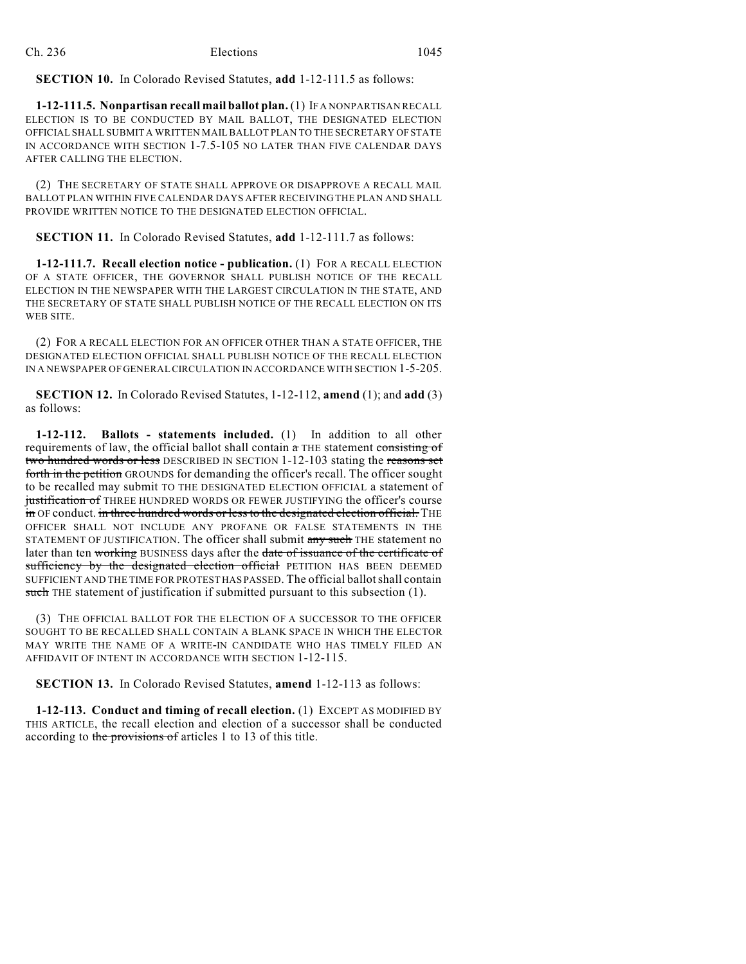#### **SECTION 10.** In Colorado Revised Statutes, **add** 1-12-111.5 as follows:

**1-12-111.5. Nonpartisan recall mail ballot plan.** (1) IF A NONPARTISAN RECALL ELECTION IS TO BE CONDUCTED BY MAIL BALLOT, THE DESIGNATED ELECTION OFFICIAL SHALL SUBMIT A WRITTEN MAILBALLOT PLAN TO THE SECRETARY OF STATE IN ACCORDANCE WITH SECTION 1-7.5-105 NO LATER THAN FIVE CALENDAR DAYS AFTER CALLING THE ELECTION.

(2) THE SECRETARY OF STATE SHALL APPROVE OR DISAPPROVE A RECALL MAIL BALLOT PLAN WITHIN FIVE CALENDAR DAYS AFTER RECEIVING THE PLAN AND SHALL PROVIDE WRITTEN NOTICE TO THE DESIGNATED ELECTION OFFICIAL.

**SECTION 11.** In Colorado Revised Statutes, **add** 1-12-111.7 as follows:

**1-12-111.7. Recall election notice - publication.** (1) FOR A RECALL ELECTION OF A STATE OFFICER, THE GOVERNOR SHALL PUBLISH NOTICE OF THE RECALL ELECTION IN THE NEWSPAPER WITH THE LARGEST CIRCULATION IN THE STATE, AND THE SECRETARY OF STATE SHALL PUBLISH NOTICE OF THE RECALL ELECTION ON ITS WEB SITE.

(2) FOR A RECALL ELECTION FOR AN OFFICER OTHER THAN A STATE OFFICER, THE DESIGNATED ELECTION OFFICIAL SHALL PUBLISH NOTICE OF THE RECALL ELECTION IN A NEWSPAPER OF GENERAL CIRCULATION IN ACCORDANCE WITH SECTION 1-5-205.

**SECTION 12.** In Colorado Revised Statutes, 1-12-112, **amend** (1); and **add** (3) as follows:

**1-12-112. Ballots - statements included.** (1) In addition to all other requirements of law, the official ballot shall contain  $\alpha$  THE statement consisting of two hundred words or less DESCRIBED IN SECTION 1-12-103 stating the reasons set forth in the petition GROUNDS for demanding the officer's recall. The officer sought to be recalled may submit TO THE DESIGNATED ELECTION OFFICIAL a statement of justification of THREE HUNDRED WORDS OR FEWER JUSTIFYING the officer's course in OF conduct. in three hundred words or less to the designated election official. THE OFFICER SHALL NOT INCLUDE ANY PROFANE OR FALSE STATEMENTS IN THE STATEMENT OF JUSTIFICATION. The officer shall submit any such THE statement no later than ten working BUSINESS days after the date of issuance of the certificate of sufficiency by the designated election official PETITION HAS BEEN DEEMED SUFFICIENT AND THE TIME FOR PROTEST HAS PASSED. The official ballotshall contain such THE statement of justification if submitted pursuant to this subsection (1).

(3) THE OFFICIAL BALLOT FOR THE ELECTION OF A SUCCESSOR TO THE OFFICER SOUGHT TO BE RECALLED SHALL CONTAIN A BLANK SPACE IN WHICH THE ELECTOR MAY WRITE THE NAME OF A WRITE-IN CANDIDATE WHO HAS TIMELY FILED AN AFFIDAVIT OF INTENT IN ACCORDANCE WITH SECTION 1-12-115.

**SECTION 13.** In Colorado Revised Statutes, **amend** 1-12-113 as follows:

**1-12-113. Conduct and timing of recall election.** (1) EXCEPT AS MODIFIED BY THIS ARTICLE, the recall election and election of a successor shall be conducted according to the provisions of articles 1 to 13 of this title.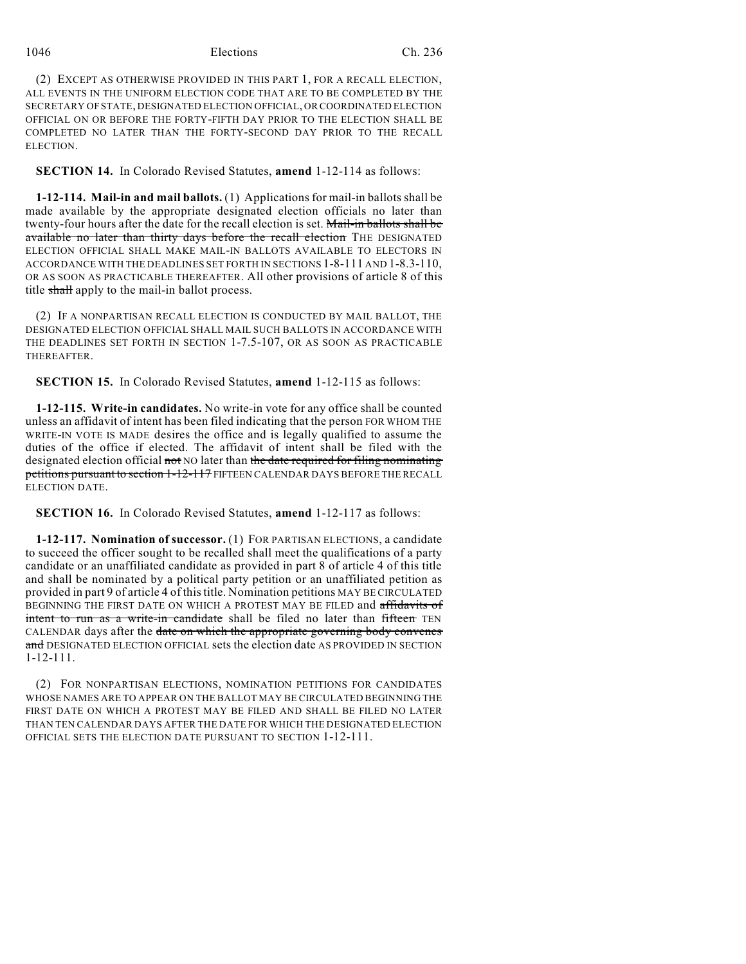## 1046 Elections Ch. 236

(2) EXCEPT AS OTHERWISE PROVIDED IN THIS PART 1, FOR A RECALL ELECTION, ALL EVENTS IN THE UNIFORM ELECTION CODE THAT ARE TO BE COMPLETED BY THE SECRETARY OF STATE, DESIGNATED ELECTION OFFICIAL, OR COORDINATED ELECTION OFFICIAL ON OR BEFORE THE FORTY-FIFTH DAY PRIOR TO THE ELECTION SHALL BE COMPLETED NO LATER THAN THE FORTY-SECOND DAY PRIOR TO THE RECALL ELECTION.

**SECTION 14.** In Colorado Revised Statutes, **amend** 1-12-114 as follows:

**1-12-114. Mail-in and mail ballots.** (1) Applications for mail-in ballots shall be made available by the appropriate designated election officials no later than twenty-four hours after the date for the recall election is set. Mail-in ballots shall be available no later than thirty days before the recall election THE DESIGNATED ELECTION OFFICIAL SHALL MAKE MAIL-IN BALLOTS AVAILABLE TO ELECTORS IN ACCORDANCE WITH THE DEADLINES SET FORTH IN SECTIONS 1-8-111 AND 1-8.3-110, OR AS SOON AS PRACTICABLE THEREAFTER. All other provisions of article 8 of this title shall apply to the mail-in ballot process.

(2) IF A NONPARTISAN RECALL ELECTION IS CONDUCTED BY MAIL BALLOT, THE DESIGNATED ELECTION OFFICIAL SHALL MAIL SUCH BALLOTS IN ACCORDANCE WITH THE DEADLINES SET FORTH IN SECTION 1-7.5-107, OR AS SOON AS PRACTICABLE THEREAFTER.

**SECTION 15.** In Colorado Revised Statutes, **amend** 1-12-115 as follows:

**1-12-115. Write-in candidates.** No write-in vote for any office shall be counted unless an affidavit of intent has been filed indicating that the person FOR WHOM THE WRITE-IN VOTE IS MADE desires the office and is legally qualified to assume the duties of the office if elected. The affidavit of intent shall be filed with the designated election official not NO later than the date required for filing nominating petitions pursuant to section 1-12-117 FIFTEEN CALENDAR DAYS BEFORE THE RECALL ELECTION DATE.

**SECTION 16.** In Colorado Revised Statutes, **amend** 1-12-117 as follows:

**1-12-117. Nomination of successor.** (1) FOR PARTISAN ELECTIONS, a candidate to succeed the officer sought to be recalled shall meet the qualifications of a party candidate or an unaffiliated candidate as provided in part 8 of article 4 of this title and shall be nominated by a political party petition or an unaffiliated petition as provided in part 9 of article 4 of thistitle. Nomination petitions MAY BE CIRCULATED BEGINNING THE FIRST DATE ON WHICH A PROTEST MAY BE FILED and affidavits of intent to run as a write-in candidate shall be filed no later than fifteen TEN CALENDAR days after the date on which the appropriate governing body convenes and DESIGNATED ELECTION OFFICIAL sets the election date AS PROVIDED IN SECTION 1-12-111.

(2) FOR NONPARTISAN ELECTIONS, NOMINATION PETITIONS FOR CANDIDATES WHOSE NAMES ARE TO APPEAR ON THE BALLOT MAY BE CIRCULATED BEGINNING THE FIRST DATE ON WHICH A PROTEST MAY BE FILED AND SHALL BE FILED NO LATER THAN TEN CALENDAR DAYS AFTER THE DATE FOR WHICH THE DESIGNATED ELECTION OFFICIAL SETS THE ELECTION DATE PURSUANT TO SECTION 1-12-111.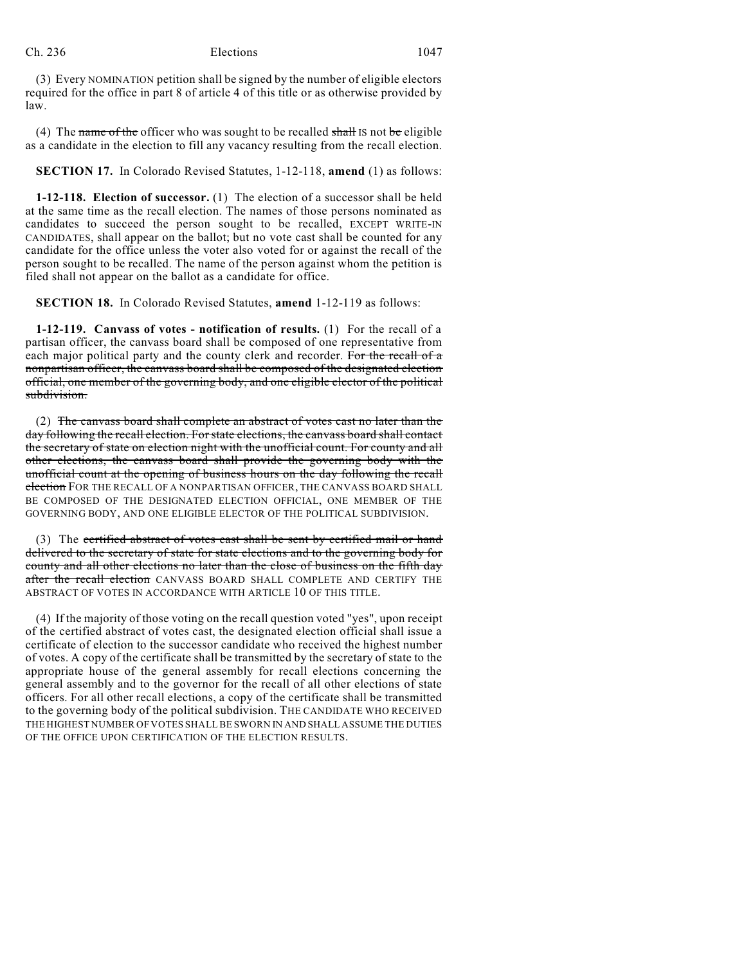(3) Every NOMINATION petition shall be signed by the number of eligible electors required for the office in part 8 of article 4 of this title or as otherwise provided by law.

(4) The name of the officer who was sought to be recalled shall IS not be eligible as a candidate in the election to fill any vacancy resulting from the recall election.

**SECTION 17.** In Colorado Revised Statutes, 1-12-118, **amend** (1) as follows:

**1-12-118. Election of successor.** (1) The election of a successor shall be held at the same time as the recall election. The names of those persons nominated as candidates to succeed the person sought to be recalled, EXCEPT WRITE-IN CANDIDATES, shall appear on the ballot; but no vote cast shall be counted for any candidate for the office unless the voter also voted for or against the recall of the person sought to be recalled. The name of the person against whom the petition is filed shall not appear on the ballot as a candidate for office.

**SECTION 18.** In Colorado Revised Statutes, **amend** 1-12-119 as follows:

**1-12-119. Canvass of votes - notification of results.** (1) For the recall of a partisan officer, the canvass board shall be composed of one representative from each major political party and the county clerk and recorder. For the recall of a nonpartisan officer, the canvass board shall be composed of the designated election official, one member of the governing body, and one eligible elector of the political subdivision.

(2) The canvass board shall complete an abstract of votes cast no later than the day following the recall election. For state elections, the canvass board shall contact the secretary of state on election night with the unofficial count. For county and all other elections, the canvass board shall provide the governing body with the unofficial count at the opening of business hours on the day following the recall election FOR THE RECALL OF A NONPARTISAN OFFICER, THE CANVASS BOARD SHALL BE COMPOSED OF THE DESIGNATED ELECTION OFFICIAL, ONE MEMBER OF THE GOVERNING BODY, AND ONE ELIGIBLE ELECTOR OF THE POLITICAL SUBDIVISION.

(3) The certified abstract of votes cast shall be sent by certified mail or hand delivered to the secretary of state for state elections and to the governing body for county and all other elections no later than the close of business on the fifth day after the recall election CANVASS BOARD SHALL COMPLETE AND CERTIFY THE ABSTRACT OF VOTES IN ACCORDANCE WITH ARTICLE 10 OF THIS TITLE.

(4) If the majority of those voting on the recall question voted "yes", upon receipt of the certified abstract of votes cast, the designated election official shall issue a certificate of election to the successor candidate who received the highest number of votes. A copy of the certificate shall be transmitted by the secretary of state to the appropriate house of the general assembly for recall elections concerning the general assembly and to the governor for the recall of all other elections of state officers. For all other recall elections, a copy of the certificate shall be transmitted to the governing body of the political subdivision. THE CANDIDATE WHO RECEIVED THE HIGHEST NUMBER OF VOTES SHALL BE SWORN IN AND SHALL ASSUME THE DUTIES OF THE OFFICE UPON CERTIFICATION OF THE ELECTION RESULTS.